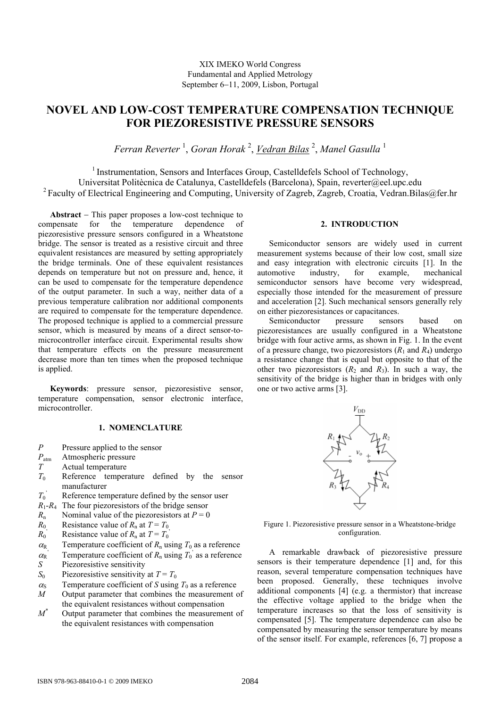## XIX IMEKO World Congress Fundamental and Applied Metrology September 6−11, 2009, Lisbon, Portugal

# **NOVEL AND LOW-COST TEMPERATURE COMPENSATION TECHNIQUE FOR PIEZORESISTIVE PRESSURE SENSORS**

*Ferran Reverter* <sup>1</sup> , *Goran Horak* <sup>2</sup> , *Vedran Bilas* <sup>2</sup> , *Manel Gasulla* <sup>1</sup>

<sup>1</sup> Instrumentation, Sensors and Interfaces Group, Castelldefels School of Technology, Universitat Politècnica de Catalunya, Castelldefels (Barcelona), Spain, reverter@eel.upc.edu <sup>2</sup> Faculty of Electrical Engineering and Computing, University of Zagreb, Zagreb, Croatia, Vedran.Bilas@fer.hr

**Abstract** − This paper proposes a low-cost technique to compensate for the temperature dependence of piezoresistive pressure sensors configured in a Wheatstone bridge. The sensor is treated as a resistive circuit and three equivalent resistances are measured by setting appropriately the bridge terminals. One of these equivalent resistances depends on temperature but not on pressure and, hence, it can be used to compensate for the temperature dependence of the output parameter. In such a way, neither data of a previous temperature calibration nor additional components are required to compensate for the temperature dependence. The proposed technique is applied to a commercial pressure sensor, which is measured by means of a direct sensor-tomicrocontroller interface circuit. Experimental results show that temperature effects on the pressure measurement decrease more than ten times when the proposed technique is applied.

**Keywords**: pressure sensor, piezoresistive sensor, temperature compensation, sensor electronic interface, microcontroller.

## **1. NOMENCLATURE**

- *P* Pressure applied to the sensor
- *P*<sub>atm</sub> Atmospheric pressure<br>*T* Actual temperature
- Actual temperature
- $T_0$  Reference temperature defined by the sensor manufacturer
- $T_0$ <sup>'</sup> Reference temperature defined by the sensor user
- $R_1 R_4$  The four piezoresistors of the bridge sensor
- *R*<sub>n</sub> Nominal value of the piezoresistors at  $P = 0$
- *R*<sub>0</sub> Resistance value of  $R_n$  at  $T = T_0$
- $R_0$ <sup> $\alpha$ </sup> Resistance value of  $R_n$  at  $T = T_0$ <sup>'</sup>
- $\alpha_{\rm R}$  Temperature coefficient of  $R_{\rm n}$  using  $T_0$  as a reference
- $\frac{\alpha_{\rm R}}{S}$ Temperature coefficient of  $R_n$  using  $T_0$ <sup>'</sup> as a reference
- Piezoresistive sensitivity
- $S_0$  Piezoresistive sensitivity at  $T = T_0$
- $\alpha_{\rm S}$  Temperature coefficient of *S* using  $T_0$  as a reference *M* Output parameter that combines the measurement *c*
- Output parameter that combines the measurement of the equivalent resistances without compensation
- *M\** Output parameter that combines the measurement of the equivalent resistances with compensation

## **2. INTRODUCTION**

Semiconductor sensors are widely used in current measurement systems because of their low cost, small size and easy integration with electronic circuits [1]. In the automotive industry, for example, mechanical semiconductor sensors have become very widespread, especially those intended for the measurement of pressure and acceleration [2]. Such mechanical sensors generally rely on either piezoresistances or capacitances.

Semiconductor pressure sensors based on piezoresistances are usually configured in a Wheatstone bridge with four active arms, as shown in Fig. 1. In the event of a pressure change, two piezoresistors  $(R_1 \text{ and } R_4)$  undergo a resistance change that is equal but opposite to that of the other two piezoresistors  $(R_2 \text{ and } R_3)$ . In such a way, the sensitivity of the bridge is higher than in bridges with only one or two active arms [3].



Figure 1. Piezoresistive pressure sensor in a Wheatstone-bridge configuration.

A remarkable drawback of piezoresistive pressure sensors is their temperature dependence [1] and, for this reason, several temperature compensation techniques have been proposed. Generally, these techniques involve additional components [4] (e.g. a thermistor) that increase the effective voltage applied to the bridge when the temperature increases so that the loss of sensitivity is compensated [5]. The temperature dependence can also be compensated by measuring the sensor temperature by means of the sensor itself. For example, references [6, 7] propose a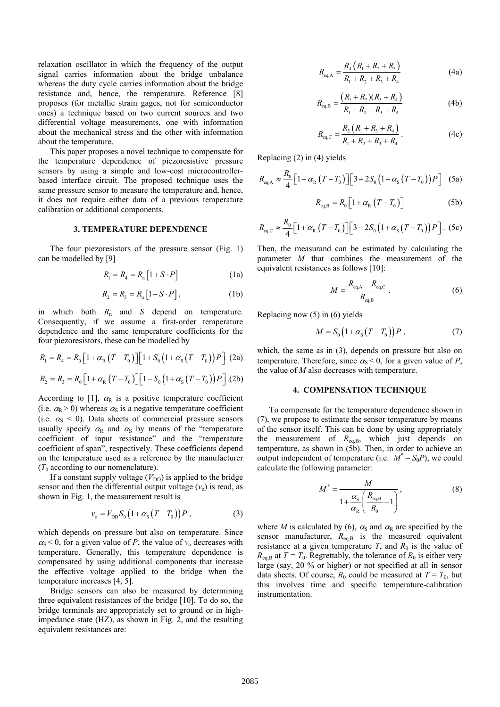relaxation oscillator in which the frequency of the output signal carries information about the bridge unbalance whereas the duty cycle carries information about the bridge resistance and, hence, the temperature. Reference [8] proposes (for metallic strain gages, not for semiconductor ones) a technique based on two current sources and two differential voltage measurements, one with information about the mechanical stress and the other with information about the temperature.

This paper proposes a novel technique to compensate for the temperature dependence of piezoresistive pressure sensors by using a simple and low-cost microcontrollerbased interface circuit. The proposed technique uses the same pressure sensor to measure the temperature and, hence, it does not require either data of a previous temperature calibration or additional components.

#### **3. TEMPERATURE DEPENDENCE**

The four piezoresistors of the pressure sensor (Fig. 1) can be modelled by [9]

$$
R_1 = R_4 = R_n \left[ 1 + S \cdot P \right] \tag{1a}
$$

$$
R_2 = R_3 = R_n \left[ 1 - S \cdot P \right],\tag{1b}
$$

in which both *R*n and *S* depend on temperature. Consequently, if we assume a first-order temperature dependence and the same temperature coefficients for the four piezoresistors, these can be modelled by

$$
R_1 = R_4 = R_0 \left[ 1 + \alpha_{R} \left( T - T_0 \right) \right] \left[ 1 + S_0 \left( 1 + \alpha_{S} \left( T - T_0 \right) \right) P \right] (2a)
$$

$$
R_2 = R_3 = R_0 \left[ 1 + \alpha_{R} \left( T - T_0 \right) \right] \left[ 1 - S_0 \left( 1 + \alpha_{S} \left( T - T_0 \right) \right) P \right]. \text{(2b)}
$$

According to [1],  $\alpha_R$  is a positive temperature coefficient (i.e.  $\alpha_{\rm R}$  > 0) whereas  $\alpha_{\rm S}$  is a negative temperature coefficient (i.e.  $\alpha_s$  < 0). Data sheets of commercial pressure sensors usually specify  $\alpha_R$  and  $\alpha_S$  by means of the "temperature" coefficient of input resistance" and the "temperature coefficient of span", respectively. These coefficients depend on the temperature used as a reference by the manufacturer  $(T_0$  according to our nomenclature).

If a constant supply voltage  $(V_{DD})$  is applied to the bridge sensor and then the differential output voltage  $(v_0)$  is read, as shown in Fig. 1, the measurement result is

$$
v_{o} = V_{DD} S_{0} (1 + \alpha_{s} (T - T_{0})) P , \qquad (3)
$$

which depends on pressure but also on temperature. Since  $\alpha_{\rm S}$  < 0, for a given value of *P*, the value of  $v_0$  decreases with temperature. Generally, this temperature dependence is compensated by using additional components that increase the effective voltage applied to the bridge when the temperature increases [4, 5].

 Bridge sensors can also be measured by determining three equivalent resistances of the bridge [10]. To do so, the bridge terminals are appropriately set to ground or in highimpedance state (HZ), as shown in Fig. 2, and the resulting equivalent resistances are:

$$
R_{\text{eq},A} = \frac{R_4 \left( R_1 + R_2 + R_3 \right)}{R_1 + R_2 + R_3 + R_4} \tag{4a}
$$

$$
R_{\text{eq},\text{B}} = \frac{(R_1 + R_2)(R_3 + R_4)}{R_1 + R_2 + R_3 + R_4}
$$
 (4b)

$$
R_{\text{eq,C}} = \frac{R_2 \left( R_1 + R_3 + R_4 \right)}{R_1 + R_2 + R_3 + R_4} \,. \tag{4c}
$$

Replacing (2) in (4) yields

*R*

$$
R_{\text{eq,A}} \approx \frac{R_0}{4} \Big[ 1 + \alpha_{\text{R}} \left( T - T_0 \right) \Big] \Big[ 3 + 2S_0 \left( 1 + \alpha_{\text{S}} \left( T - T_0 \right) \right) P \Big] \tag{5a}
$$

$$
R_{\text{eq,B}} = R_0 \left[ 1 + \alpha_{\text{R}} \left( T - T_0 \right) \right] \tag{5b}
$$

$$
R_{\text{eq},\text{C}} \approx \frac{R_0}{4} \Big[ 1 + \alpha_{\text{R}} \left( T - T_0 \right) \Big] \Big[ 3 - 2S_0 \left( 1 + \alpha_{\text{S}} \left( T - T_0 \right) \right) P \Big]. \tag{5c}
$$

Then, the measurand can be estimated by calculating the parameter *M* that combines the measurement of the equivalent resistances as follows [10]:

$$
M = \frac{R_{\text{eq,A}} - R_{\text{eq,C}}}{R_{\text{eq,B}}}.
$$
 (6)

Replacing now (5) in (6) yields

$$
M = S_0 \left( 1 + \alpha_s \left( T - T_0 \right) \right) P \,, \tag{7}
$$

which, the same as in (3), depends on pressure but also on temperature. Therefore, since  $\alpha_s < 0$ , for a given value of *P*, the value of *M* also decreases with temperature.

#### **4. COMPENSATION TECHNIQUE**

To compensate for the temperature dependence shown in (7), we propose to estimate the sensor temperature by means of the sensor itself. This can be done by using appropriately the measurement of  $R_{eq,B}$ , which just depends on temperature, as shown in (5b). Then, in order to achieve an output independent of temperature (i.e.  $M^* = S_0 P$ ), we could calculate the following parameter:

$$
M^* = \frac{M}{1 + \frac{\alpha_{\rm s}}{\alpha_{\rm R}} \left( \frac{R_{\rm eq, B}}{R_0} - 1 \right)},
$$
(8)

where *M* is calculated by (6),  $\alpha_s$  and  $\alpha_R$  are specified by the sensor manufacturer,  $R_{eq,B}$  is the measured equivalent resistance at a given temperature  $T$ , and  $R_0$  is the value of  $R_{eq,B}$  at  $T = T_0$ . Regrettably, the tolerance of  $R_0$  is either very large (say, 20 % or higher) or not specified at all in sensor data sheets. Of course,  $R_0$  could be measured at  $T = T_0$ , but this involves time and specific temperature-calibration instrumentation.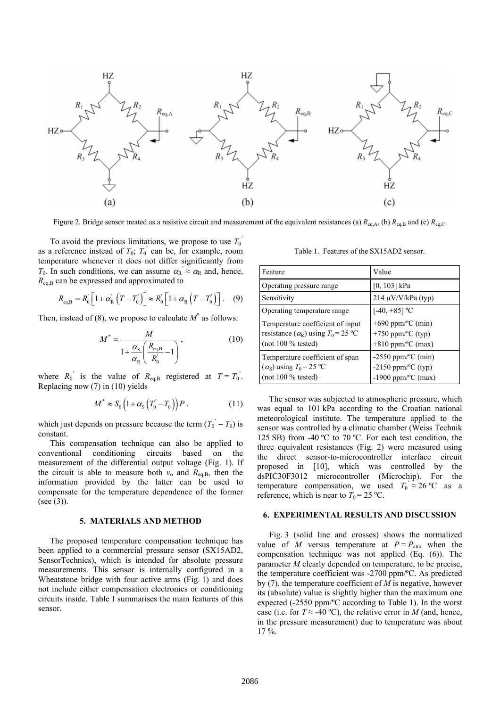

Figure 2. Bridge sensor treated as a resistive circuit and measurement of the equivalent resistances (a)  $R_{eq,A}$ , (b)  $R_{eq,B}$  and (c)  $R_{eq,C}$ .

To avoid the previous limitations, we propose to use  $T_0$ <sup>'</sup> as a reference instead of  $T_0$ ;  $T_0$ <sup>'</sup> can be, for example, room temperature whenever it does not differ significantly from *T*<sub>0</sub>. In such conditions, we can assume  $\alpha_R \approx \alpha_R$  and, hence, *R*eq,B can be expressed and approximated to

$$
R_{\text{eq,B}} = R_0 \left[ 1 + \alpha_R \left( T - T_0' \right) \right] \approx R_0 \left[ 1 + \alpha_R \left( T - T_0' \right) \right]. \quad (9)
$$

Then, instead of (8), we propose to calculate  $M^*$  as follows:

$$
M^* = \frac{M}{1 + \frac{\alpha_{\rm s}}{\alpha_{\rm R}} \left( \frac{R_{\rm eq, B}}{R_0} - 1 \right)},
$$
(10)

where  $R_0$ <sup>'</sup> is the value of  $R_{eq,B}$  registered at  $T = T_0$ <sup>'</sup>. Replacing now (7) in (10) yields

$$
M^* \approx S_0 \left( 1 + \alpha_s \left( T_0 - T_0 \right) \right) P \,. \tag{11}
$$

which just depends on pressure because the term  $(T_0^{\prime} - T_0)$  is constant.

This compensation technique can also be applied to conventional conditioning circuits based on the measurement of the differential output voltage (Fig. 1). If the circuit is able to measure both  $v_0$  and  $R_{eq,B}$ , then the information provided by the latter can be used to compensate for the temperature dependence of the former (see (3)).

## **5. MATERIALS AND METHOD**

The proposed temperature compensation technique has been applied to a commercial pressure sensor (SX15AD2, SensorTechnics), which is intended for absolute pressure measurements. This sensor is internally configured in a Wheatstone bridge with four active arms (Fig. 1) and does not include either compensation electronics or conditioning circuits inside. Table I summarises the main features of this sensor.

Table 1. Features of the SX15AD2 sensor.

| Feature                                                                                                             | Value                                                                                       |
|---------------------------------------------------------------------------------------------------------------------|---------------------------------------------------------------------------------------------|
| Operating pressure range                                                                                            | $[0, 103]$ kPa                                                                              |
| Sensitivity                                                                                                         | $214 \mu V/V/kPa$ (typ)                                                                     |
| Operating temperature range                                                                                         | [-40, +85] <sup>o</sup> C                                                                   |
| Temperature coefficient of input<br>resistance $(\alpha_R)$ using $T_0 = 25 \text{ °C}$<br>$($ not 100 % tested $)$ | $+690$ ppm/ $\rm{^oC}$ (min)<br>+750 ppm/ $\rm{^{\circ}C}$ (typ)<br>$+810$ ppm/°C (max)     |
| Temperature coefficient of span<br>$(\alpha_s)$ using $T_0 = 25$ °C<br>$(not 100 \%$ tested)                        | $-2550$ ppm/ $\rm{^oC}$ (min)<br>-2150 ppm/ $\rm{^oC}$ (typ)<br>-1900 ppm/ $\rm{^oC}$ (max) |

The sensor was subjected to atmospheric pressure, which was equal to 101 kPa according to the Croatian national meteorological institute. The temperature applied to the sensor was controlled by a climatic chamber (Weiss Technik 125 SB) from -40 ºC to 70 ºC. For each test condition, the three equivalent resistances (Fig. 2) were measured using the direct sensor-to-microcontroller interface circuit proposed in [10], which was controlled by the dsPIC30F3012 microcontroller (Microchip). For the temperature compensation, we used  $T_0 \approx 26 \text{ °C}$  as a reference, which is near to  $T_0 = 25 \text{ °C}$ .

#### **6. EXPERIMENTAL RESULTS AND DISCUSSION**

Fig. 3 (solid line and crosses) shows the normalized value of *M* versus temperature at  $P = P_{\text{atm}}$  when the compensation technique was not applied (Eq. (6)). The parameter *M* clearly depended on temperature, to be precise, the temperature coefficient was -2700 ppm/ºC. As predicted by (7), the temperature coefficient of *M* is negative, however its (absolute) value is slightly higher than the maximum one expected (-2550 ppm/ºC according to Table 1). In the worst case (i.e. for  $T \approx -40$  °C), the relative error in *M* (and, hence, in the pressure measurement) due to temperature was about  $17 \%$